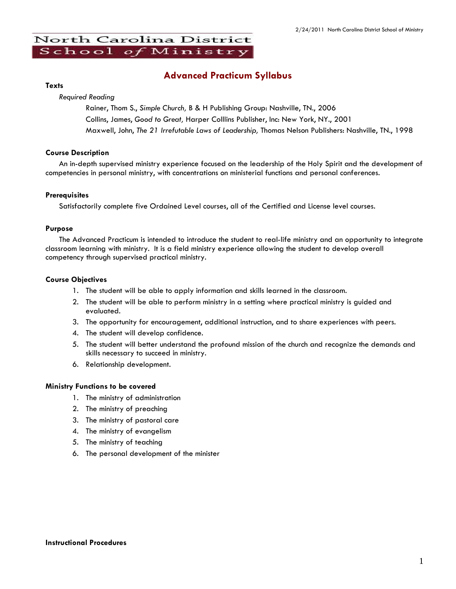# North Carolina District School of Ministry

# **Advanced Practicum Syllabus**

#### **Texts**

*Required Reading*

Rainer, Thom S., *Simple Church,* B & H Publishing Group: Nashville, TN., 2006 Collins, James, *Good to Great,* Harper Colllins Publisher, Inc: New York, NY., 2001 Maxwell, John, *The 21 Irrefutable Laws of Leadership,* Thomas Nelson Publishers: Nashville, TN., 1998

### **Course Description**

An in-depth supervised ministry experience focused on the leadership of the Holy Spirit and the development of competencies in personal ministry, with concentrations on ministerial functions and personal conferences.

### **Prerequisites**

Satisfactorily complete five Ordained Level courses, all of the Certified and License level courses.

### **Purpose**

The Advanced Practicum is intended to introduce the student to real-life ministry and an opportunity to integrate classroom learning with ministry. It is a field ministry experience allowing the student to develop overall competency through supervised practical ministry.

### **Course Objectives**

- 1. The student will be able to apply information and skills learned in the classroom.
- 2. The student will be able to perform ministry in a setting where practical ministry is guided and evaluated.
- 3. The opportunity for encouragement, additional instruction, and to share experiences with peers.
- 4. The student will develop confidence.
- 5. The student will better understand the profound mission of the church and recognize the demands and skills necessary to succeed in ministry.
- 6. Relationship development.

### **Ministry Functions to be covered**

- 1. The ministry of administration
- 2. The ministry of preaching
- 3. The ministry of pastoral care
- 4. The ministry of evangelism
- 5. The ministry of teaching
- 6. The personal development of the minister